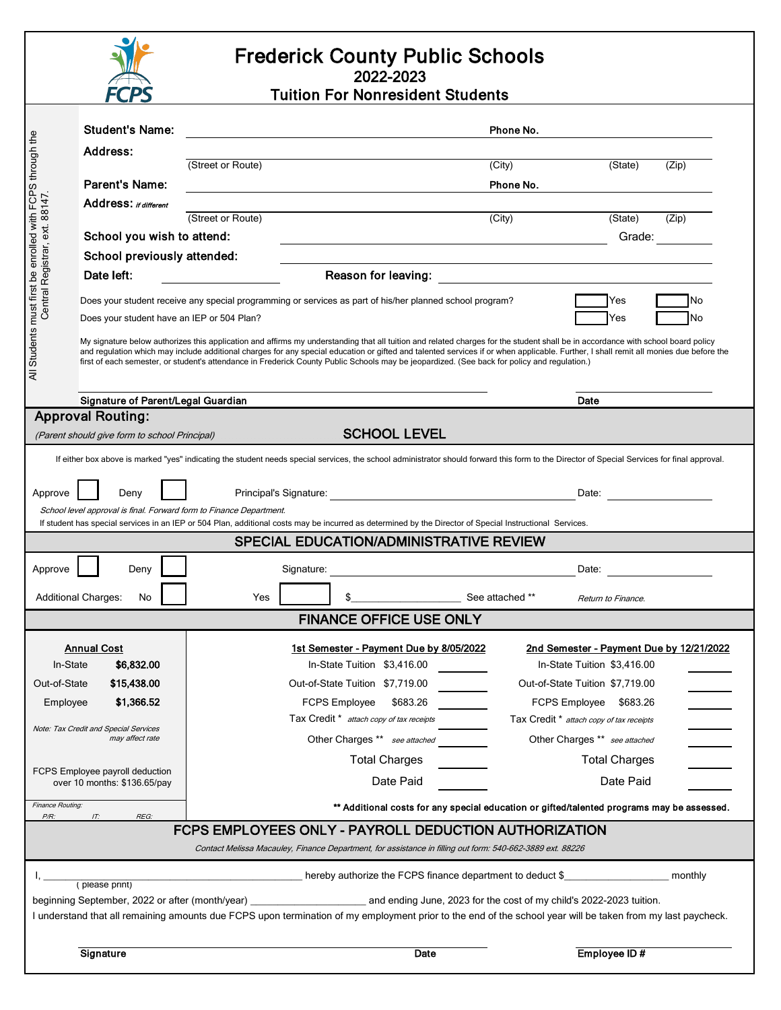

## Frederick County Public Schools 2022-2023

Tuition For Nonresident Students

|                                                                                                                                                                                                                                 | <b>Student's Name:</b>                                                                                                                                                                                                                                                                                                                |                                                                                                          | Phone No.                                                                                                            |                                          |  |
|---------------------------------------------------------------------------------------------------------------------------------------------------------------------------------------------------------------------------------|---------------------------------------------------------------------------------------------------------------------------------------------------------------------------------------------------------------------------------------------------------------------------------------------------------------------------------------|----------------------------------------------------------------------------------------------------------|----------------------------------------------------------------------------------------------------------------------|------------------------------------------|--|
|                                                                                                                                                                                                                                 | Address:                                                                                                                                                                                                                                                                                                                              |                                                                                                          |                                                                                                                      |                                          |  |
|                                                                                                                                                                                                                                 |                                                                                                                                                                                                                                                                                                                                       | (Street or Route)                                                                                        | (City)                                                                                                               | (State)<br>(Zip)                         |  |
|                                                                                                                                                                                                                                 | <b>Parent's Name:</b>                                                                                                                                                                                                                                                                                                                 |                                                                                                          | Phone No.                                                                                                            |                                          |  |
|                                                                                                                                                                                                                                 | Address: if different                                                                                                                                                                                                                                                                                                                 |                                                                                                          |                                                                                                                      |                                          |  |
|                                                                                                                                                                                                                                 |                                                                                                                                                                                                                                                                                                                                       | (Street or Route)                                                                                        | (City)                                                                                                               | (State)<br>(Zip)                         |  |
|                                                                                                                                                                                                                                 | School you wish to attend:                                                                                                                                                                                                                                                                                                            |                                                                                                          |                                                                                                                      | Grade:                                   |  |
|                                                                                                                                                                                                                                 | School previously attended:                                                                                                                                                                                                                                                                                                           |                                                                                                          |                                                                                                                      |                                          |  |
|                                                                                                                                                                                                                                 | Date left:                                                                                                                                                                                                                                                                                                                            |                                                                                                          | Reason for leaving: <u>_____________________________</u>                                                             |                                          |  |
| All Students must first be enrolled with FCPS through the<br>Central Registrar, ext. 88147                                                                                                                                      | Does your student have an IEP or 504 Plan?                                                                                                                                                                                                                                                                                            | Does your student receive any special programming or services as part of his/her planned school program? |                                                                                                                      | Yes<br>No<br>No<br>Yes                   |  |
|                                                                                                                                                                                                                                 | My signature below authorizes this application and affirms my understanding that all tuition and related charges for the student shall be in accordance with school board policy                                                                                                                                                      |                                                                                                          |                                                                                                                      |                                          |  |
|                                                                                                                                                                                                                                 | and regulation which may include additional charges for any special education or gifted and talented services if or when applicable. Further, I shall remit all monies due before the<br>first of each semester, or student's attendance in Frederick County Public Schools may be jeopardized. (See back for policy and regulation.) |                                                                                                          |                                                                                                                      |                                          |  |
|                                                                                                                                                                                                                                 |                                                                                                                                                                                                                                                                                                                                       |                                                                                                          |                                                                                                                      |                                          |  |
|                                                                                                                                                                                                                                 |                                                                                                                                                                                                                                                                                                                                       |                                                                                                          |                                                                                                                      | Date                                     |  |
| Signature of Parent/Legal Guardian<br><b>Approval Routing:</b>                                                                                                                                                                  |                                                                                                                                                                                                                                                                                                                                       |                                                                                                          |                                                                                                                      |                                          |  |
| <b>SCHOOL LEVEL</b><br>(Parent should give form to school Principal)                                                                                                                                                            |                                                                                                                                                                                                                                                                                                                                       |                                                                                                          |                                                                                                                      |                                          |  |
|                                                                                                                                                                                                                                 |                                                                                                                                                                                                                                                                                                                                       |                                                                                                          |                                                                                                                      |                                          |  |
| If either box above is marked "yes" indicating the student needs special services, the school administrator should forward this form to the Director of Special Services for final approval.                                    |                                                                                                                                                                                                                                                                                                                                       |                                                                                                          |                                                                                                                      |                                          |  |
| Deny<br>Approve                                                                                                                                                                                                                 |                                                                                                                                                                                                                                                                                                                                       |                                                                                                          |                                                                                                                      | Date: <u>__________</u>                  |  |
| School level approval is final. Forward form to Finance Department.<br>If student has special services in an IEP or 504 Plan, additional costs may be incurred as determined by the Director of Special Instructional Services. |                                                                                                                                                                                                                                                                                                                                       |                                                                                                          |                                                                                                                      |                                          |  |
| SPECIAL EDUCATION/ADMINISTRATIVE REVIEW                                                                                                                                                                                         |                                                                                                                                                                                                                                                                                                                                       |                                                                                                          |                                                                                                                      |                                          |  |
|                                                                                                                                                                                                                                 |                                                                                                                                                                                                                                                                                                                                       |                                                                                                          |                                                                                                                      |                                          |  |
| Approve                                                                                                                                                                                                                         | Deny                                                                                                                                                                                                                                                                                                                                  | Signature:                                                                                               | <u> 1980 - Johann Barn, mars ar breithinn ar chomhair an t-Alban ann an t-Alban ann an t-Alban ann an t-Alban an</u> | Date:                                    |  |
|                                                                                                                                                                                                                                 | <b>Additional Charges:</b><br>See attached **<br>No<br>Yes<br>Return to Finance.                                                                                                                                                                                                                                                      |                                                                                                          |                                                                                                                      |                                          |  |
| <b>FINANCE OFFICE USE ONLY</b>                                                                                                                                                                                                  |                                                                                                                                                                                                                                                                                                                                       |                                                                                                          |                                                                                                                      |                                          |  |
| <b>Annual Cost</b><br>1st Semester - Payment Due by 8/05/2022<br>2nd Semester - Payment Due by 12/21/2022                                                                                                                       |                                                                                                                                                                                                                                                                                                                                       |                                                                                                          |                                                                                                                      |                                          |  |
| \$6,832.00<br>In-State<br>In-State Tuition \$3,416.00                                                                                                                                                                           |                                                                                                                                                                                                                                                                                                                                       |                                                                                                          | In-State Tuition \$3.416.00                                                                                          |                                          |  |
| Out-of-State                                                                                                                                                                                                                    | \$15,438.00                                                                                                                                                                                                                                                                                                                           | Out-of-State Tuition \$7,719.00                                                                          |                                                                                                                      | Out-of-State Tuition \$7,719.00          |  |
| Employee                                                                                                                                                                                                                        | \$1,366.52<br>\$683.26<br><b>FCPS Employee</b><br>FCPS Employee \$683.26                                                                                                                                                                                                                                                              |                                                                                                          |                                                                                                                      |                                          |  |
|                                                                                                                                                                                                                                 |                                                                                                                                                                                                                                                                                                                                       | Tax Credit * attach copy of tax receipts                                                                 |                                                                                                                      | Tax Credit * attach copy of tax receipts |  |
|                                                                                                                                                                                                                                 | Note: Tax Credit and Special Services<br>may affect rate                                                                                                                                                                                                                                                                              | Other Charges ** see attached                                                                            |                                                                                                                      | Other Charges ** see attached            |  |
|                                                                                                                                                                                                                                 |                                                                                                                                                                                                                                                                                                                                       | <b>Total Charges</b>                                                                                     |                                                                                                                      | <b>Total Charges</b>                     |  |
| FCPS Employee payroll deduction<br>over 10 months: \$136.65/pay                                                                                                                                                                 |                                                                                                                                                                                                                                                                                                                                       | Date Paid                                                                                                |                                                                                                                      | Date Paid                                |  |
| Finance Routing:                                                                                                                                                                                                                |                                                                                                                                                                                                                                                                                                                                       |                                                                                                          |                                                                                                                      |                                          |  |
| ** Additional costs for any special education or gifted/talented programs may be assessed.<br>$P/R$ :<br>IT:<br>REG:                                                                                                            |                                                                                                                                                                                                                                                                                                                                       |                                                                                                          |                                                                                                                      |                                          |  |
| FCPS EMPLOYEES ONLY - PAYROLL DEDUCTION AUTHORIZATION                                                                                                                                                                           |                                                                                                                                                                                                                                                                                                                                       |                                                                                                          |                                                                                                                      |                                          |  |
| Contact Melissa Macauley, Finance Department, for assistance in filling out form: 540-662-3889 ext. 88226                                                                                                                       |                                                                                                                                                                                                                                                                                                                                       |                                                                                                          |                                                                                                                      |                                          |  |
| monthly<br>hereby authorize the FCPS finance department to deduct \$<br>(please print)                                                                                                                                          |                                                                                                                                                                                                                                                                                                                                       |                                                                                                          |                                                                                                                      |                                          |  |
| and ending June, 2023 for the cost of my child's 2022-2023 tuition.<br>beginning September, 2022 or after (month/year)                                                                                                          |                                                                                                                                                                                                                                                                                                                                       |                                                                                                          |                                                                                                                      |                                          |  |
| I understand that all remaining amounts due FCPS upon termination of my employment prior to the end of the school year will be taken from my last paycheck.                                                                     |                                                                                                                                                                                                                                                                                                                                       |                                                                                                          |                                                                                                                      |                                          |  |
| Employee ID#<br>Signature<br>Date                                                                                                                                                                                               |                                                                                                                                                                                                                                                                                                                                       |                                                                                                          |                                                                                                                      |                                          |  |
|                                                                                                                                                                                                                                 |                                                                                                                                                                                                                                                                                                                                       |                                                                                                          |                                                                                                                      |                                          |  |